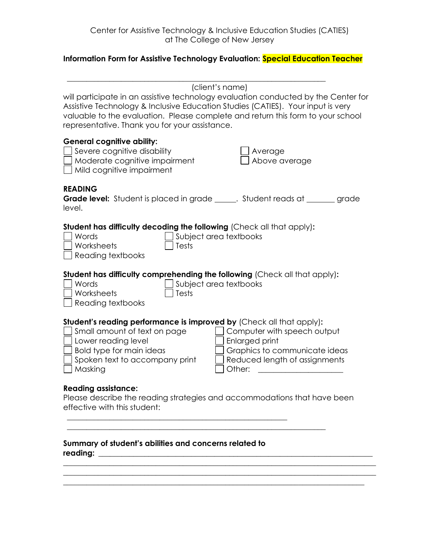## **Information Form for Assistive Technology Evaluation: Special Education Teacher**

| (client's name)<br>will participate in an assistive technology evaluation conducted by the Center for<br>Assistive Technology & Inclusive Education Studies (CATIES). Your input is very<br>valuable to the evaluation. Please complete and return this form to your school<br>representative. Thank you for your assistance.     |
|-----------------------------------------------------------------------------------------------------------------------------------------------------------------------------------------------------------------------------------------------------------------------------------------------------------------------------------|
| <b>General cognitive ability:</b><br>Severe cognitive disability<br>Average<br>Moderate cognitive impairment<br>Above average<br>Mild cognitive impairment                                                                                                                                                                        |
| <b>READING</b><br><b>Grade level:</b> Student is placed in grade ______. Student reads at _______<br>grade<br>level.                                                                                                                                                                                                              |
| Student has difficulty decoding the following (Check all that apply):<br>Words<br>Subject area textbooks<br>Worksheets<br>Tests<br>Reading textbooks                                                                                                                                                                              |
| Student has difficulty comprehending the following (Check all that apply):<br>Words<br>Subject area textbooks<br>Worksheets<br>Tests<br>Reading textbooks                                                                                                                                                                         |
| Student's reading performance is improved by (Check all that apply):<br>Small amount of text on page<br>Computer with speech output<br>Lower reading level<br>Enlarged print<br>Bold type for main ideas<br>Graphics to communicate ideas<br>Spoken text to accompany print<br>Reduced length of assignments<br>Other:<br>Masking |
| <b>Readina assistance:</b><br>Please describe the reading strategies and accommodations that have been<br>effective with this student:                                                                                                                                                                                            |
| Summary of student's abilities and concerns related to<br>reading:                                                                                                                                                                                                                                                                |
|                                                                                                                                                                                                                                                                                                                                   |